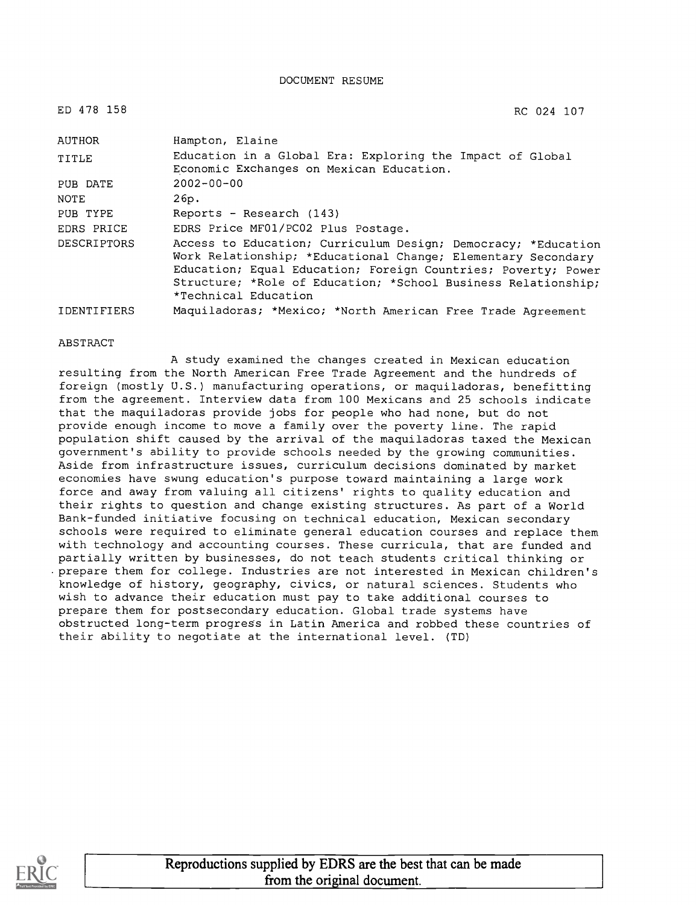DOCUMENT RESUME

| ED 478 158         | RC 024 107                                                                                                                                                                                                                                                                              |
|--------------------|-----------------------------------------------------------------------------------------------------------------------------------------------------------------------------------------------------------------------------------------------------------------------------------------|
| <b>AUTHOR</b>      | Hampton, Elaine                                                                                                                                                                                                                                                                         |
| TITLE              | Education in a Global Era: Exploring the Impact of Global<br>Economic Exchanges on Mexican Education.                                                                                                                                                                                   |
| PUB DATE           | $2002 - 00 - 00$                                                                                                                                                                                                                                                                        |
| NOTE               | 26p.                                                                                                                                                                                                                                                                                    |
| PUB TYPE           | Reports - Research (143)                                                                                                                                                                                                                                                                |
| EDRS PRICE         | EDRS Price MF01/PC02 Plus Postage.                                                                                                                                                                                                                                                      |
| <b>DESCRIPTORS</b> | Access to Education; Curriculum Design; Democracy; *Education<br>Work Relationship; *Educational Change; Elementary Secondary<br>Education; Equal Education; Foreign Countries; Poverty; Power<br>Structure; *Role of Education; *School Business Relationship;<br>*Technical Education |
| <b>IDENTIFIERS</b> | Maquiladoras; *Mexico; *North American Free Trade Agreement                                                                                                                                                                                                                             |

#### ABSTRACT

A study examined the changes created in Mexican education resulting from the North American Free Trade Agreement and the hundreds of foreign (mostly U.S.) manufacturing operations, or maquiladoras, benefitting from the agreement. Interview data from 100 Mexicans and 25 schools indicate that the maquiladoras provide jobs for people who had none, but do not provide enough income to move a family over the poverty line. The rapid population shift caused by the arrival of the maquiladoras taxed the Mexican government's ability to provide schools needed by the growing communities. Aside from infrastructure issues, curriculum decisions dominated by market economies have swung education's purpose toward maintaining a large work force and away from valuing all citizens' rights to quality education and their rights to question and change existing structures. As part of a World Bank-funded initiative focusing on technical education, Mexican secondary schools were required to eliminate general education courses and replace them with technology and accounting courses. These curricula, that are funded and partially written by businesses, do not teach students critical thinking or .prepare them for college. Industries are not interested in Mexican children's knowledge of history, geography, civics, or natural sciences. Students who wish to advance their education must pay to take additional courses to prepare them for postsecondary education. Global trade systems have obstructed long-term progress in Latin America and robbed these countries of their ability to negotiate at the international level. (TD)

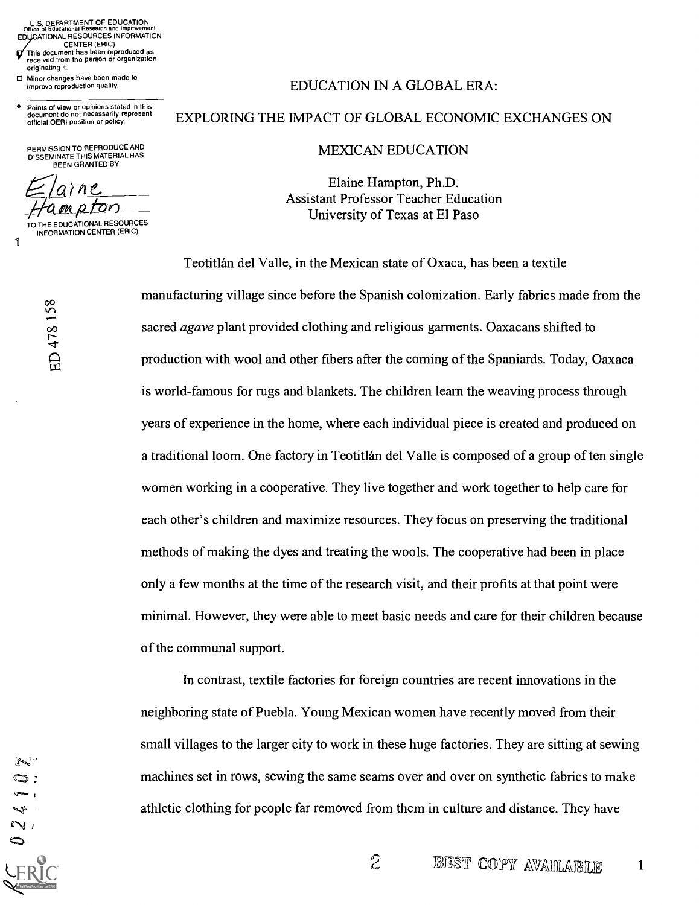U.S. DEPARTMENT OF EDUCATION Office of Educational Research and Improvement EDUCATIONAL RESOURCES INFORMATION CENTER (ERIC) This document has been reproduced as

received from the person or organization originating it.

Minor changes have been made to improve reproduction quality.

e Points of view or opinions stated in this document do not necessarily represent official OERI position or policy.

PERMISSION TO REPRODUCE AND DISSEMINATE THIS MATERIAL HAS BEEN GRANTED BY

 $H$ ampton

TO THE EDUCATIONAL RESOURCES INFORMATION CENTER (ERIC)

 $\infty$  and  $\infty$ 

 $\infty$  and  $\infty$ 

 $\left| \begin{array}{ccc} \cdot & \cdot & \cdot \end{array} \right|$ 

1

#### EDUCATION IN A GLOBAL ERA:

### EXPLORING THE IMPACT OF GLOBAL ECONOMIC EXCHANGES ON

#### MEXICAN EDUCATION

Elaine Hampton, Ph.D. Assistant Professor Teacher Education University of Texas at El Paso

Teotitlán del Valle, in the Mexican state of Oxaca, has been a textile manufacturing village since before the Spanish colonization. Early fabrics made from the sacred *agave* plant provided clothing and religious garments. Oaxacans shifted to production with wool and other fibers after the coming of the Spaniards. Today, Oaxaca is world-famous for rugs and blankets. The children learn the weaving process through years of experience in the home, where each individual piece is created and produced on a traditional loom. One factory in Teotitlán del Valle is composed of a group of ten single women working in a cooperative. They live together and work together to help care for each other's children and maximize resources. They focus on preserving the traditional methods of making the dyes and treating the wools. The cooperative had been in place only a few months at the time of the research visit, and their profits at that point were minimal. However, they were able to meet basic needs and care for their children because of the communal support.

In contrast, textile factories for foreign countries are recent innovations in the neighboring state of Puebla. Young Mexican women have recently moved from their small villages to the larger city to work in these huge factories. They are sitting at sewing machines set in rows, sewing the same seams over and over on synthetic fabrics to make athletic clothing for people far removed from them in culture and distance. They have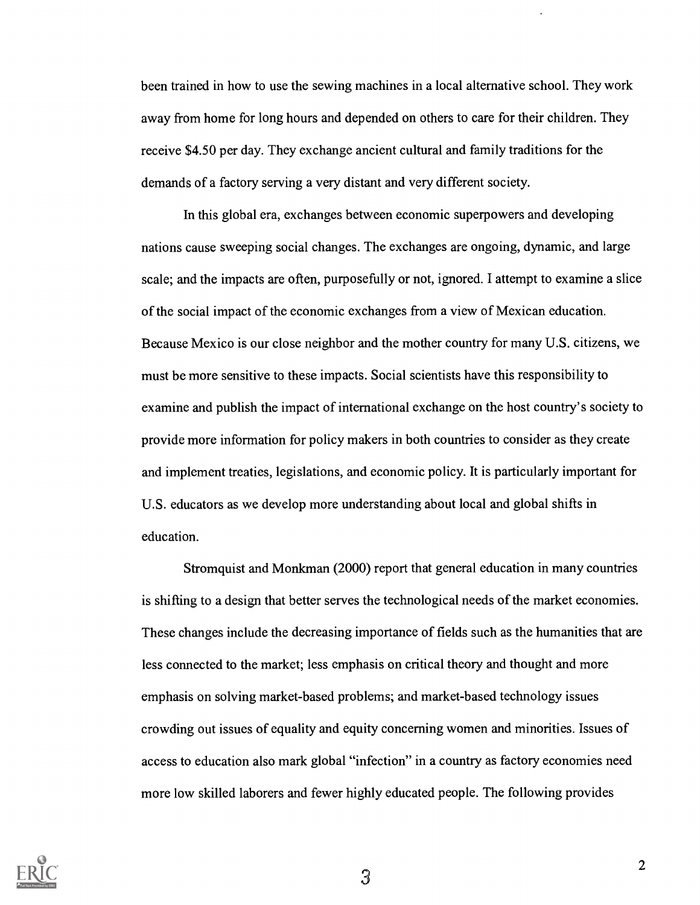been trained in how to use the sewing machines in a local alternative school. They work away from home for long hours and depended on others to care for their children. They receive \$4.50 per day. They exchange ancient cultural and family traditions for the demands of a factory serving a very distant and very different society.

In this global era, exchanges between economic superpowers and developing nations cause sweeping social changes. The exchanges are ongoing, dynamic, and large scale; and the impacts are often, purposefully or not, ignored. I attempt to examine a slice of the social impact of the economic exchanges from a view of Mexican education. Because Mexico is our close neighbor and the mother country for many U.S. citizens, we must be more sensitive to these impacts. Social scientists have this responsibility to examine and publish the impact of international exchange on the host country's society to provide more information for policy makers in both countries to consider as they create and implement treaties, legislations, and economic policy. It is particularly important for U.S. educators as we develop more understanding about local and global shifts in education.

Stromquist and Monkman (2000) report that general education in many countries is shifting to a design that better serves the technological needs of the market economies. These changes include the decreasing importance of fields such as the humanities that are less connected to the market; less emphasis on critical theory and thought and more emphasis on solving market-based problems; and market-based technology issues crowding out issues of equality and equity concerning women and minorities. Issues of access to education also mark global "infection" in a country as factory economies need more low skilled laborers and fewer highly educated people. The following provides

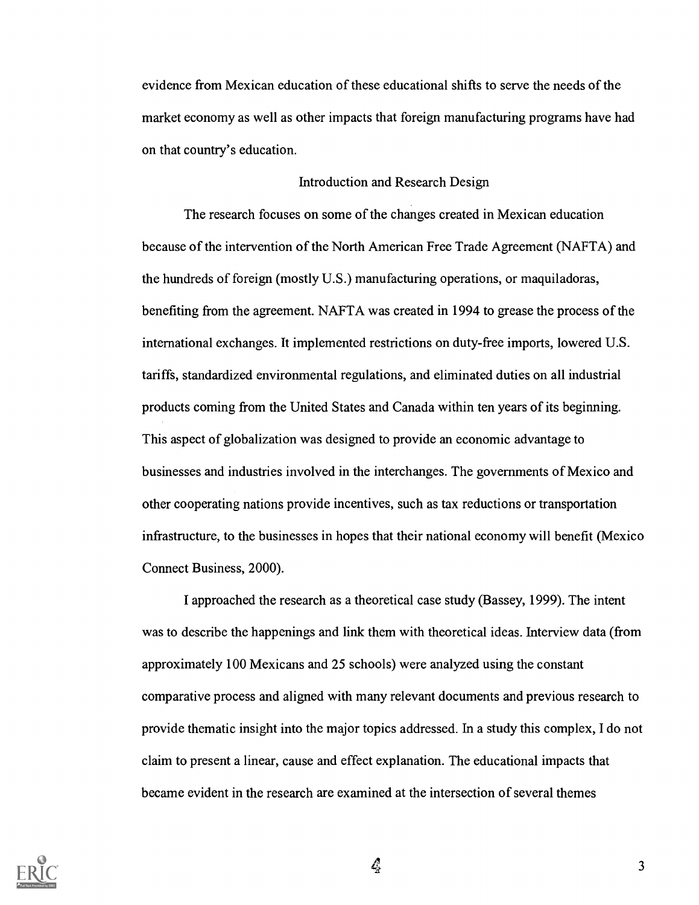evidence from Mexican education of these educational shifts to serve the needs of the market economy as well as other impacts that foreign manufacturing programs have had on that country's education.

#### Introduction and Research Design

The research focuses on some of the changes created in Mexican education because of the intervention of the North American Free Trade Agreement (NAFTA) and the hundreds of foreign (mostly U.S.) manufacturing operations, or maquiladoras, benefiting from the agreement. NAFTA was created in 1994 to grease the process of the international exchanges. It implemented restrictions on duty-free imports, lowered U.S. tariffs, standardized environmental regulations, and eliminated duties on all industrial products coming from the United States and Canada within ten years of its beginning. This aspect of globalization was designed to provide an economic advantage to businesses and industries involved in the interchanges. The governments of Mexico and other cooperating nations provide incentives, such as tax reductions or transportation infrastructure, to the businesses in hopes that their national economy will benefit (Mexico Connect Business, 2000).

I approached the research as a theoretical case study (Bassey, 1999). The intent was to describe the happenings and link them with theoretical ideas. Interview data (from approximately 100 Mexicans and 25 schools) were analyzed using the constant comparative process and aligned with many relevant documents and previous research to provide thematic insight into the major topics addressed. In a study this complex, I do not claim to present a linear, cause and effect explanation. The educational impacts that became evident in the research are examined at the intersection of several themes



 $\frac{a}{2}$  3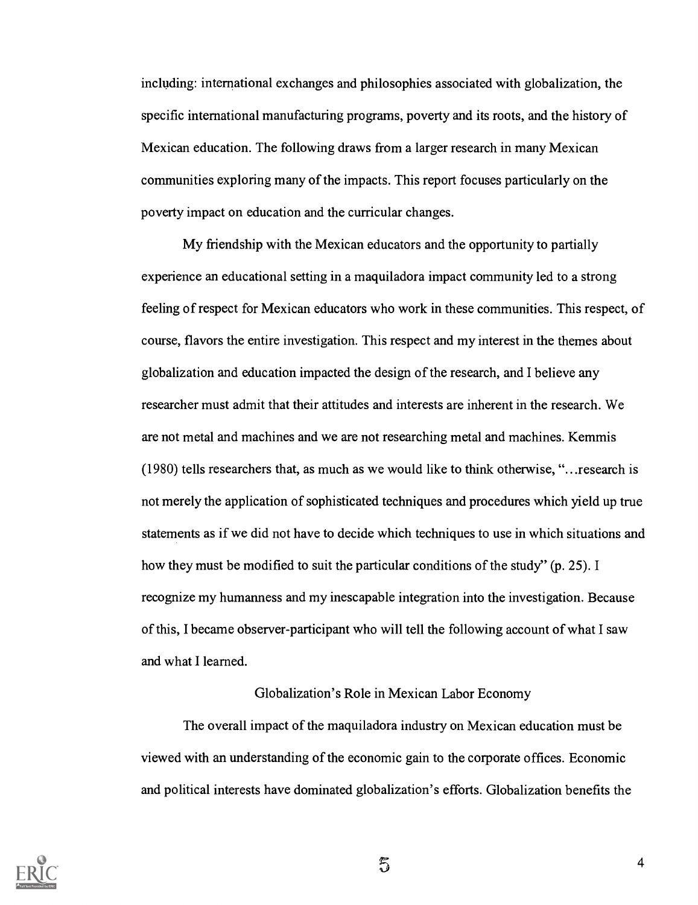including: international exchanges and philosophies associated with globalization, the specific international manufacturing programs, poverty and its roots, and the history of Mexican education. The following draws from a larger research in many Mexican communities exploring many of the impacts. This report focuses particularly on the poverty impact on education and the curricular changes.

My friendship with the Mexican educators and the opportunity to partially experience an educational setting in a maquiladora impact community led to a strong feeling of respect for Mexican educators who work in these communities. This respect, of course, flavors the entire investigation. This respect and my interest in the themes about globalization and education impacted the design of the research, and I believe any researcher must admit that their attitudes and interests are inherent in the research. We are not metal and machines and we are not researching metal and machines. Kemmis (1980) tells researchers that, as much as we would like to think otherwise, "...research is not merely the application of sophisticated techniques and procedures which yield up true statements as if we did not have to decide which techniques to use in which situations and how they must be modified to suit the particular conditions of the study" (p. 25). I recognize my humanness and my inescapable integration into the investigation. Because of this, I became observer-participant who will tell the following account of what I saw and what I learned.

### Globalization's Role in Mexican Labor Economy

The overall impact of the maquiladora industry on Mexican education must be viewed with an understanding of the economic gain to the corporate offices. Economic and political interests have dominated globalization's efforts. Globalization benefits the



5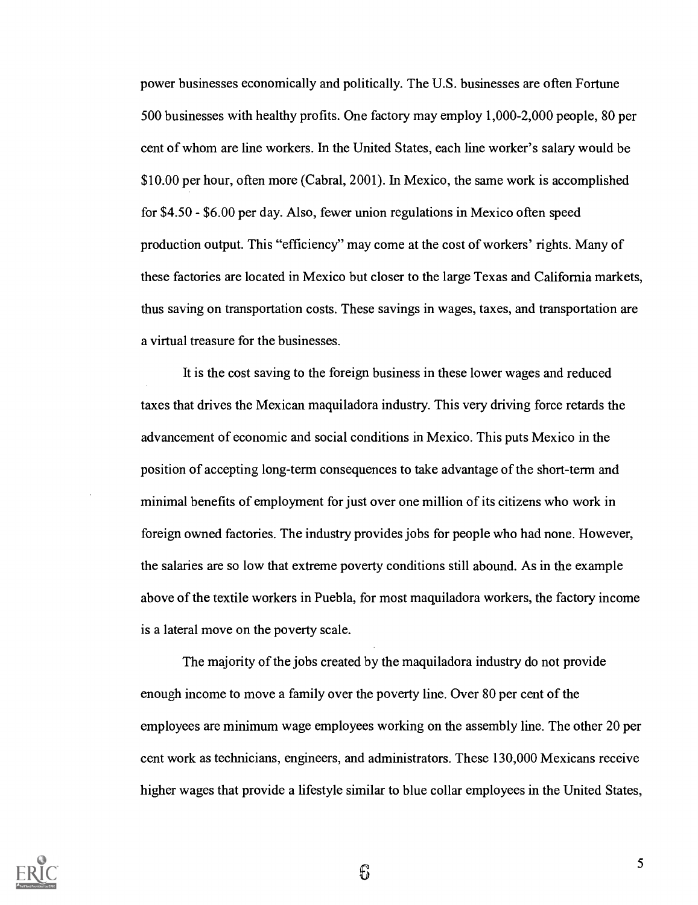power businesses economically and politically. The U.S. businesses are often Fortune 500 businesses with healthy profits. One factory may employ 1,000-2,000 people, 80 per cent of whom are line workers. In the United States, each line worker's salary would be \$10.00 per hour, often more (Cabral, 2001). In Mexico, the same work is accomplished for \$4.50 - \$6.00 per day. Also, fewer union regulations in Mexico often speed production output. This "efficiency" may come at the cost of workers' rights. Many of these factories are located in Mexico but closer to the large Texas and California markets, thus saving on transportation costs. These savings in wages, taxes, and transportation are a virtual treasure for the businesses.

It is the cost saving to the foreign business in these lower wages and reduced taxes that drives the Mexican maquiladora industry. This very driving force retards the advancement of economic and social conditions in Mexico. This puts Mexico in the position of accepting long-term consequences to take advantage of the short-term and minimal benefits of employment for just over one million of its citizens who work in foreign owned factories. The industry provides jobs for people who had none. However, the salaries are so low that extreme poverty conditions still abound. As in the example above of the textile workers in Puebla, for most maquiladora workers, the factory income is a lateral move on the poverty scale.

The majority of the jobs created by the maquiladora industry do not provide enough income to move a family over the poverty line. Over 80 per cent of the employees are minimum wage employees working on the assembly line. The other 20 per cent work as technicians, engineers, and administrators. These 130,000 Mexicans receive higher wages that provide a lifestyle similar to blue collar employees in the United States,

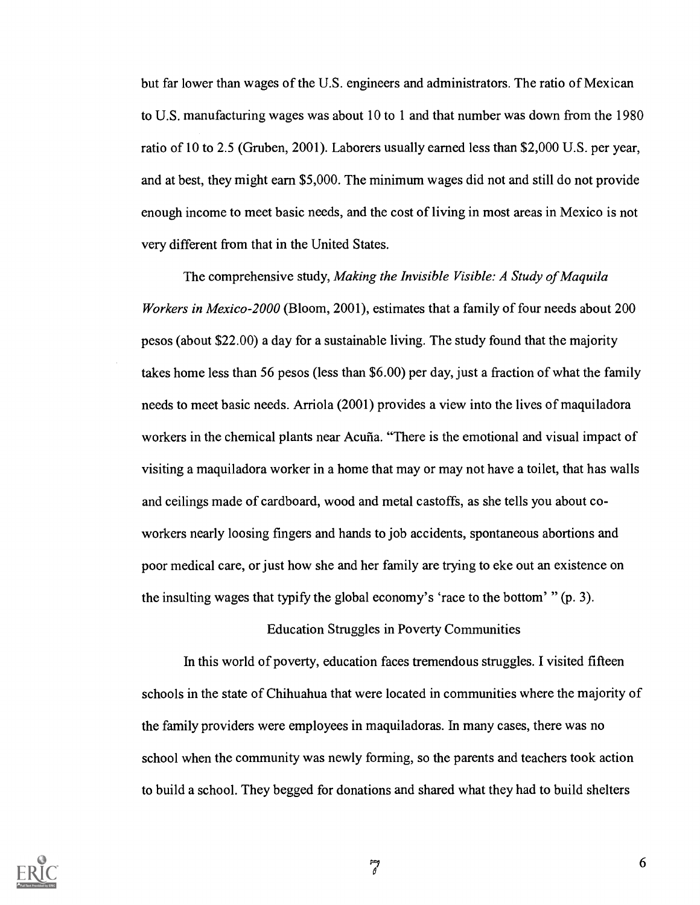but far lower than wages of the U.S. engineers and administrators. The ratio of Mexican to U.S. manufacturing wages was about 10 to 1 and that number was down from the 1980 ratio of 10 to 2.5 (Gruben, 2001). Laborers usually earned less than \$2,000 U.S. per year, and at best, they might earn \$5,000. The minimum wages did not and still do not provide enough income to meet basic needs, and the cost of living in most areas in Mexico is not very different from that in the United States.

The comprehensive study, Making the Invisible Visible: A Study of Maquila Workers in Mexico-2000 (Bloom, 2001), estimates that a family of four needs about 200 pesos (about \$22.00) a day for a sustainable living. The study found that the majority takes home less than 56 pesos (less than \$6.00) per day, just a fraction of what the family needs to meet basic needs. Arriola (2001) provides a view into the lives of maquiladora workers in the chemical plants near Acuña. "There is the emotional and visual impact of visiting a maquiladora worker in a home that may or may not have a toilet, that has walls and ceilings made of cardboard, wood and metal castoffs, as she tells you about coworkers nearly loosing fingers and hands to job accidents, spontaneous abortions and poor medical care, or just how she and her family are trying to eke out an existence on the insulting wages that typify the global economy's 'race to the bottom' " (p. 3).

### Education Struggles in Poverty Communities

In this world of poverty, education faces tremendous struggles. I visited fifteen schools in the state of Chihuahua that were located in communities where the majority of the family providers were employees in maquiladoras. In many cases, there was no school when the community was newly forming, so the parents and teachers took action to build a school. They begged for donations and shared what they had to build shelters



 $\overline{\theta}$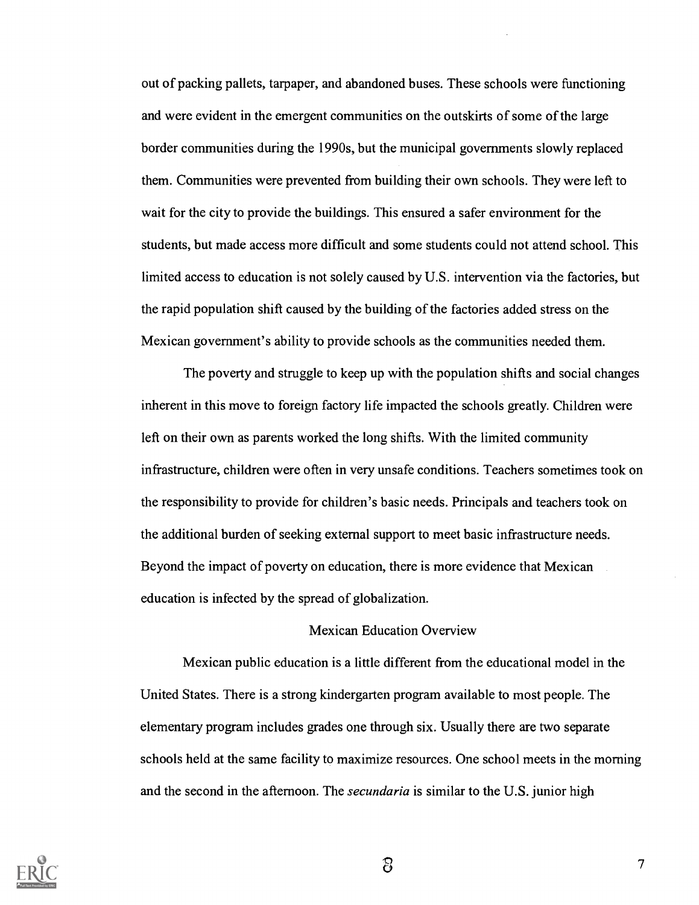out of packing pallets, tarpaper, and abandoned buses. These schools were functioning and were evident in the emergent communities on the outskirts of some of the large border communities during the 1990s, but the municipal governments slowly replaced them. Communities were prevented from building their own schools. They were left to wait for the city to provide the buildings. This ensured a safer environment for the students, but made access more difficult and some students could not attend school. This limited access to education is not solely caused by U.S. intervention via the factories, but the rapid population shift caused by the building of the factories added stress on the Mexican government's ability to provide schools as the communities needed them.

The poverty and struggle to keep up with the population shifts and social changes inherent in this move to foreign factory life impacted the schools greatly. Children were left on their own as parents worked the long shifts. With the limited community infrastructure, children were often in very unsafe conditions. Teachers sometimes took on the responsibility to provide for children's basic needs. Principals and teachers took on the additional burden of seeking external support to meet basic infrastructure needs. Beyond the impact of poverty on education, there is more evidence that Mexican education is infected by the spread of globalization.

### Mexican Education Overview

Mexican public education is a little different from the educational model in the United States. There is a strong kindergarten program available to most people. The elementary program includes grades one through six. Usually there are two separate schools held at the same facility to maximize resources. One school meets in the morning and the second in the afternoon. The *secundaria* is similar to the U.S. junior high

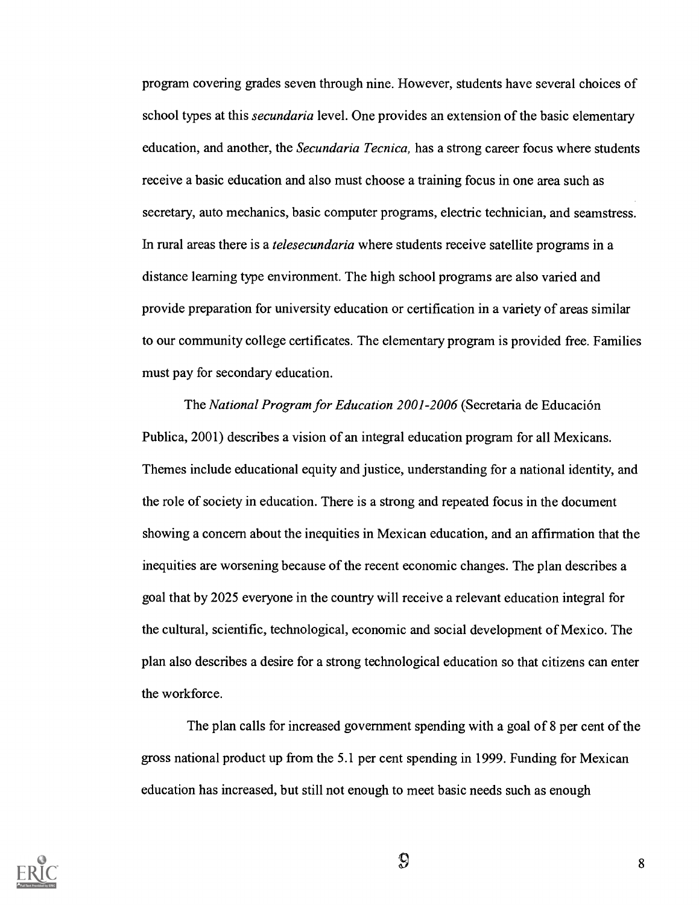program covering grades seven through nine. However, students have several choices of school types at this *secundaria* level. One provides an extension of the basic elementary education, and another, the *Secundaria Tecnica*, has a strong career focus where students receive a basic education and also must choose a training focus in one area such as secretary, auto mechanics, basic computer programs, electric technician, and seamstress. In rural areas there is a *telesecundaria* where students receive satellite programs in a distance learning type environment. The high school programs are also varied and provide preparation for university education or certification in a variety of areas similar to our community college certificates. The elementary program is provided free. Families must pay for secondary education.

The National Program for Education 2001-2006 (Secretaria de Educacion Publica, 2001) describes a vision of an integral education program for all Mexicans. Themes include educational equity and justice, understanding for a national identity, and the role of society in education. There is a strong and repeated focus in the document showing a concern about the inequities in Mexican education, and an affirmation that the inequities are worsening because of the recent economic changes. The plan describes a goal that by 2025 everyone in the country will receive a relevant education integral for the cultural, scientific, technological, economic and social development of Mexico. The plan also describes a desire for a strong technological education so that citizens can enter the workforce.

The plan calls for increased government spending with a goal of 8 per cent of the gross national product up from the 5.1 per cent spending in 1999. Funding for Mexican education has increased, but still not enough to meet basic needs such as enough



 $\mathbb{S}$  8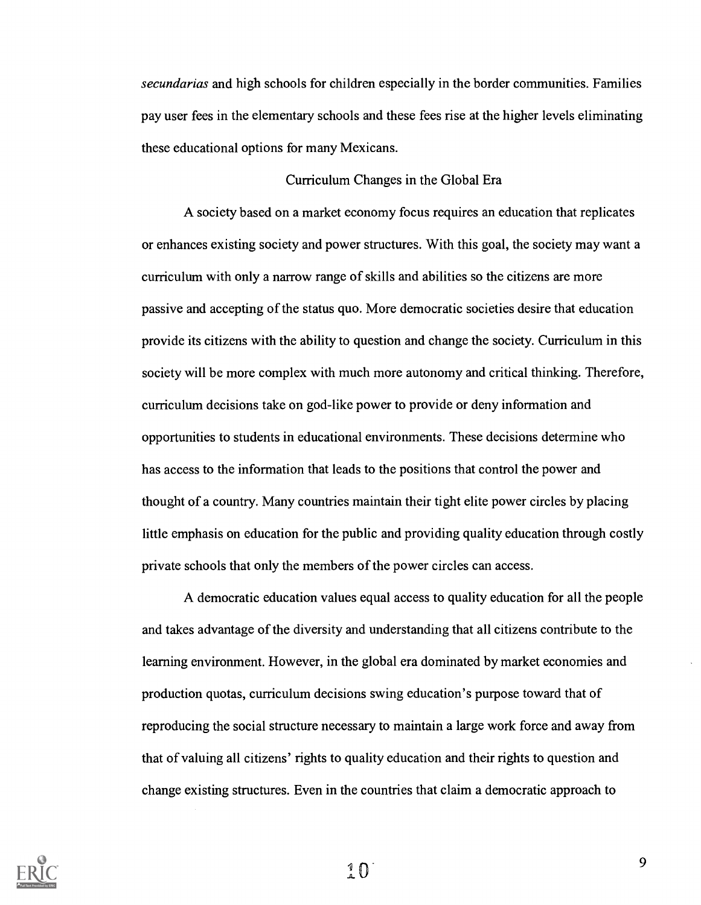secundarias and high schools for children especially in the border communities. Families pay user fees in the elementary schools and these fees rise at the higher levels eliminating these educational options for many Mexicans.

### Curriculum Changes in the Global Era

A society based on a market economy focus requires an education that replicates or enhances existing society and power structures. With this goal, the society may want a curriculum with only a narrow range of skills and abilities so the citizens are more passive and accepting of the status quo. More democratic societies desire that education provide its citizens with the ability to question and change the society. Curriculum in this society will be more complex with much more autonomy and critical thinking. Therefore, curriculum decisions take on god-like power to provide or deny information and opportunities to students in educational environments. These decisions determine who has access to the information that leads to the positions that control the power and thought of a country. Many countries maintain their tight elite power circles by placing little emphasis on education for the public and providing quality education through costly private schools that only the members of the power circles can access.

A democratic education values equal access to quality education for all the people and takes advantage of the diversity and understanding that all citizens contribute to the learning environment. However, in the global era dominated by market economies and production quotas, curriculum decisions swing education's purpose toward that of reproducing the social structure necessary to maintain a large work force and away from that of valuing all citizens' rights to quality education and their rights to question and change existing structures. Even in the countries that claim a democratic approach to



 $\left( \begin{array}{c} 1 \\ 0 \end{array} \right)$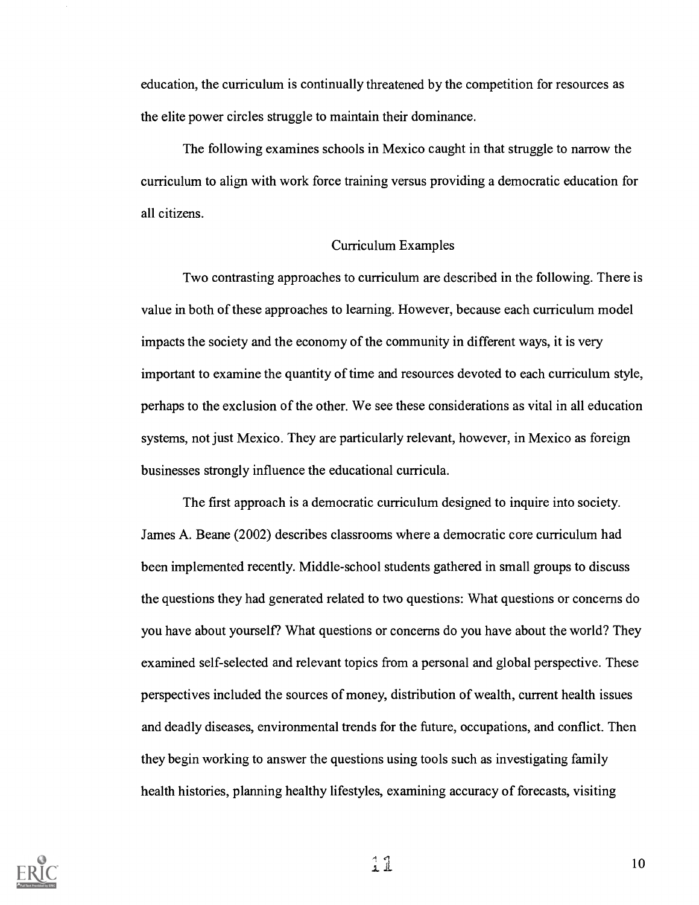education, the curriculum is continually threatened by the competition for resources as the elite power circles struggle to maintain their dominance.

The following examines schools in Mexico caught in that struggle to narrow the curriculum to align with work force training versus providing a democratic education for all citizens.

#### Curriculum Examples

Two contrasting approaches to curriculum are described in the following. There is value in both of these approaches to learning. However, because each curriculum model impacts the society and the economy of the community in different ways, it is very important to examine the quantity of time and resources devoted to each curriculum style, perhaps to the exclusion of the other. We see these considerations as vital in all education systems, not just Mexico. They are particularly relevant, however, in Mexico as foreign businesses strongly influence the educational curricula.

The first approach is a democratic curriculum designed to inquire into society. James A. Beane (2002) describes classrooms where a democratic core curriculum had been implemented recently. Middle-school students gathered in small groups to discuss the questions they had generated related to two questions: What questions or concerns do you have about yourself? What questions or concerns do you have about the world? They examined self-selected and relevant topics from a personal and global perspective. These perspectives included the sources of money, distribution of wealth, current health issues and deadly diseases, environmental trends for the future, occupations, and conflict. Then they begin working to answer the questions using tools such as investigating family health histories, planning healthy lifestyles, examining accuracy of forecasts, visiting



 $11$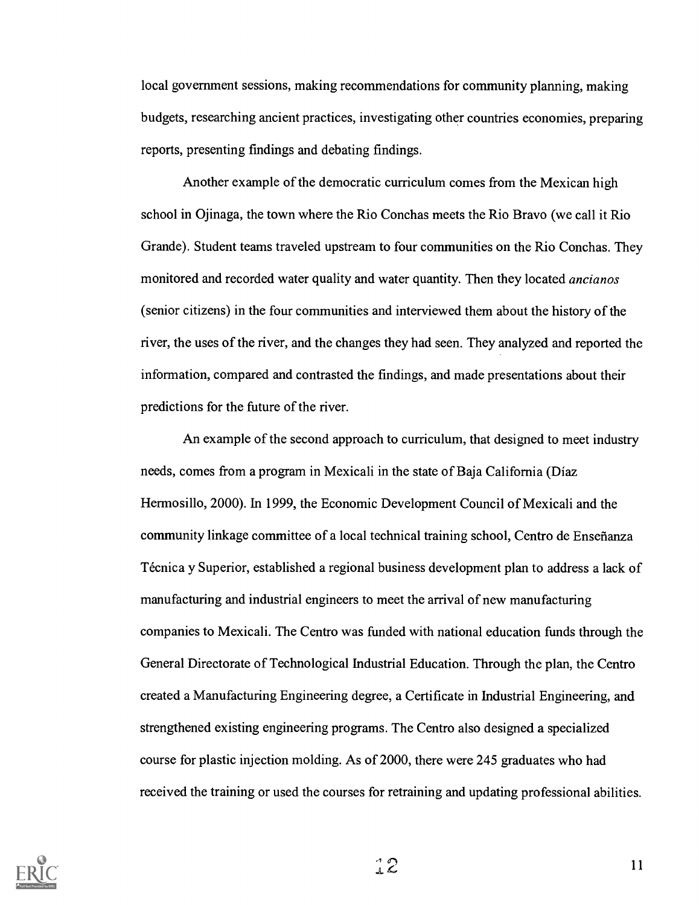local government sessions, making recommendations for community planning, making budgets, researching ancient practices, investigating other countries economies, preparing reports, presenting findings and debating findings.

Another example of the democratic curriculum comes from the Mexican high school in Ojinaga, the town where the Rio Conchas meets the Rio Bravo (we call it Rio Grande). Student teams traveled upstream to four communities on the Rio Conchas. They monitored and recorded water quality and water quantity. Then they located ancianos (senior citizens) in the four communities and interviewed them about the history of the river, the uses of the river, and the changes they had seen. They analyzed and reported the information, compared and contrasted the findings, and made presentations about their predictions for the future of the river.

An example of the second approach to curriculum, that designed to meet industry needs, comes from a program in Mexicali in the state of Baja California (Diaz Hermosillo, 2000). In 1999, the Economic Development Council of Mexicali and the community linkage committee of a local technical training school, Centro de Ensefianza Técnica y Superior, established a regional business development plan to address a lack of manufacturing and industrial engineers to meet the arrival of new manufacturing companies to Mexicali. The Centro was funded with national education funds through the General Directorate of Technological Industrial Education. Through the plan, the Centro created a Manufacturing Engineering degree, a Certificate in Industrial Engineering, and strengthened existing engineering programs. The Centro also designed a specialized course for plastic injection molding. As of 2000, there were 245 graduates who had received the training or used the courses for retraining and updating professional abilities.



 $22$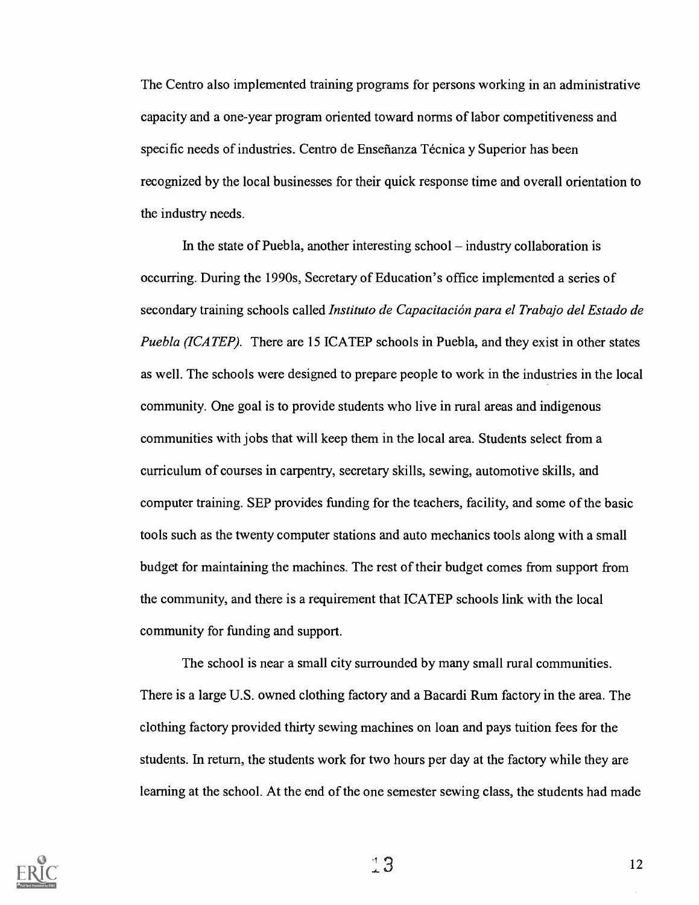The Centro also implemented training programs for persons working in an administrative capacity and a one-year program oriented toward norms of labor competitiveness and specific needs of industries. Centro de Enseñanza Técnica y Superior has been recognized by the local businesses for their quick response time and overall orientation to the industry needs.

In the state of Puebla, another interesting school  $-$  industry collaboration is occurring. During the 1990s, Secretary of Education's office implemented a series of secondary training schools called Instituto de Capacitación para el Trabajo del Estado de Puebla (ICATEP). There are 15 ICATEP schools in Puebla, and they exist in other states as well. The schools were designed to prepare people to work in the industries in the local community. One goal is to provide students who live in rural areas and indigenous communities with jobs that will keep them in the local area. Students select from a curriculum of courses in carpentry, secretary skills, sewing, automotive skills, and computer training. SEP provides funding for the teachers, facility, and some of the basic tools such as the twenty computer stations and auto mechanics tools along with a small budget for maintaining the machines. The rest of their budget comes from support from the community, and there is a requirement that ICATEP schools link with the local community for funding and support.

The school is near a small city surrounded by many small rural communities. There is a large U.S. owned clothing factory and a Bacardi Rum factory in the area. The clothing factory provided thirty sewing machines on loan and pays tuition fees for the students. In return, the students work for two hours per day at the factory while they are learning at the school. At the end of the one semester sewing class, the students had made



 $3 \t 12$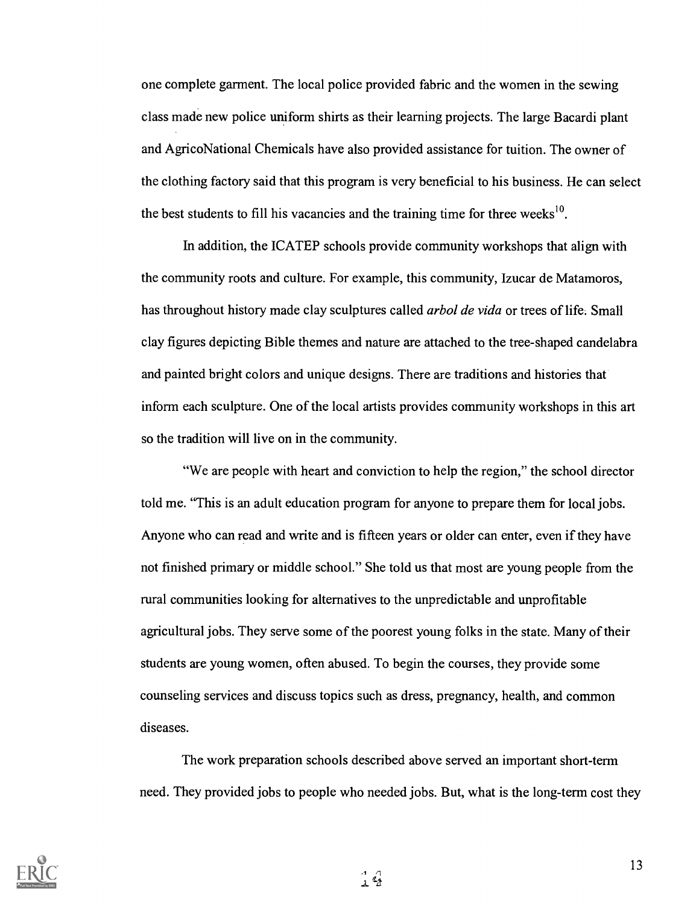one complete garment. The local police provided fabric and the women in the sewing class made new police uniform shirts as their learning projects. The large Bacardi plant and AgricoNational Chemicals have also provided assistance for tuition. The owner of the clothing factory said that this program is very beneficial to his business. He can select the best students to fill his vacancies and the training time for three weeks<sup>10</sup>.

In addition, the ICATEP schools provide community workshops that align with the community roots and culture. For example, this community, Izucar de Matamoros, has throughout history made clay sculptures called arbol de vida or trees of life. Small clay figures depicting Bible themes and nature are attached to the tree-shaped candelabra and painted bright colors and unique designs. There are traditions and histories that inform each sculpture. One of the local artists provides community workshops in this art so the tradition will live on in the community.

"We are people with heart and conviction to help the region," the school director told me. "This is an adult education program for anyone to prepare them for local jobs. Anyone who can read and write and is fifteen years or older can enter, even if they have not finished primary or middle school." She told us that most are young people from the rural communities looking for alternatives to the unpredictable and unprofitable agricultural jobs. They serve some of the poorest young folks in the state. Many of their students are young women, often abused. To begin the courses, they provide some counseling services and discuss topics such as dress, pregnancy, health, and common diseases.

The work preparation schools described above served an important short-term need. They provided jobs to people who needed jobs. But, what is the long-term cost they

 $\frac{4}{1}$ 



 $\alpha$  13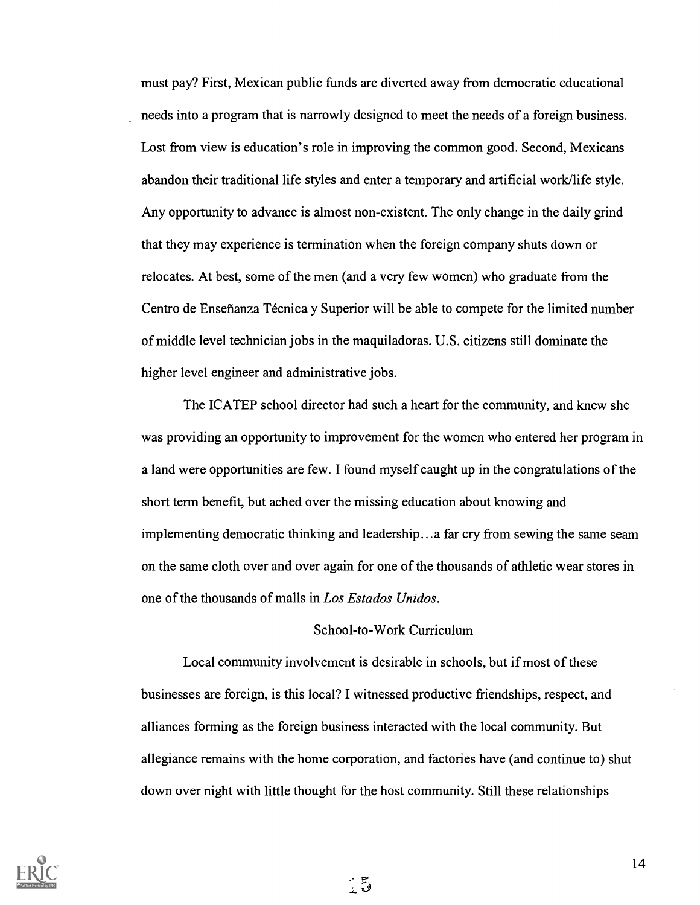must pay? First, Mexican public funds are diverted away from democratic educational needs into a program that is narrowly designed to meet the needs of a foreign business. Lost from view is education's role in improving the common good. Second, Mexicans abandon their traditional life styles and enter a temporary and artificial work/life style. Any opportunity to advance is almost non-existent. The only change in the daily grind that they may experience is termination when the foreign company shuts down or relocates. At best, some of the men (and a very few women) who graduate from the Centro de Enseñanza Técnica y Superior will be able to compete for the limited number of middle level technician jobs in the maquiladoras. U.S. citizens still dominate the higher level engineer and administrative jobs.

The ICATEP school director had such a heart for the community, and knew she was providing an opportunity to improvement for the women who entered her program in a land were opportunities are few. I found myself caught up in the congratulations of the short term benefit, but ached over the missing education about knowing and implementing democratic thinking and leadership...a far cry from sewing the same seam on the same cloth over and over again for one of the thousands of athletic wear stores in one of the thousands of malls in Los Estados Unidos.

### School-to-Work Curriculum

Local community involvement is desirable in schools, but if most of these businesses are foreign, is this local? I witnessed productive friendships, respect, and alliances forming as the foreign business interacted with the local community. But allegiance remains with the home corporation, and factories have (and continue to) shut down over night with little thought for the host community. Still these relationships

្សី

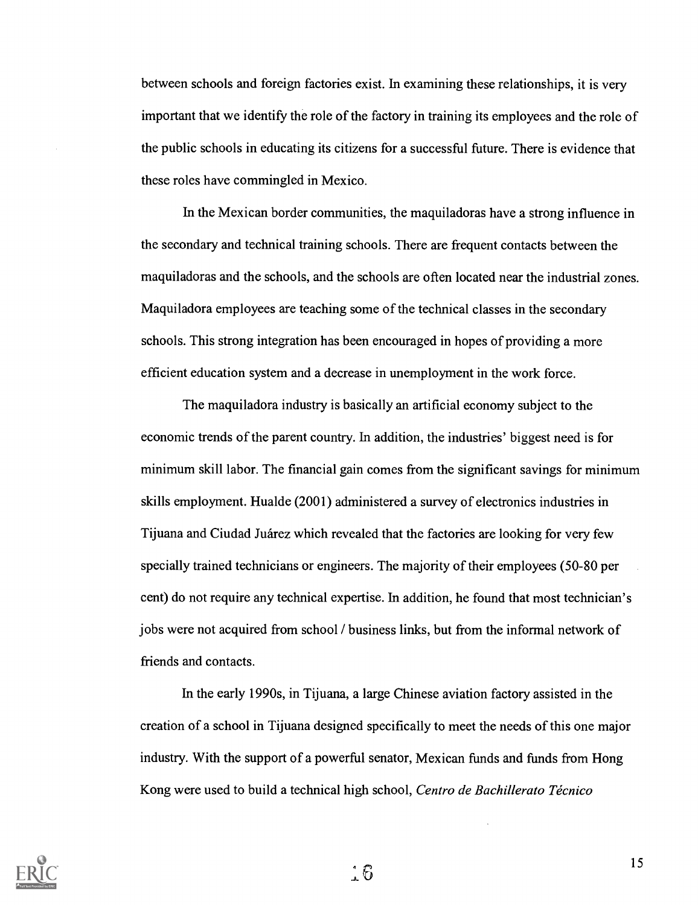between schools and foreign factories exist. In examining these relationships, it is very important that we identify the role of the factory in training its employees and the role of the public schools in educating its citizens for a successful future. There is evidence that these roles have commingled in Mexico.

In the Mexican border communities, the maquiladoras have a strong influence in the secondary and technical training schools. There are frequent contacts between the maquiladoras and the schools, and the schools are often located near the industrial zones. Maquiladora employees are teaching some of the technical classes in the secondary schools. This strong integration has been encouraged in hopes of providing a more efficient education system and a decrease in unemployment in the work force.

The maquiladora industry is basically an artificial economy subject to the economic trends of the parent country. In addition, the industries' biggest need is for minimum skill labor. The financial gain comes from the significant savings for minimum skills employment. Hualde (2001) administered a survey of electronics industries in Tijuana and Ciudad Juarez which revealed that the factories are looking for very few specially trained technicians or engineers. The majority of their employees (50-80 per cent) do not require any technical expertise. In addition, he found that most technician's jobs were not acquired from school / business links, but from the informal network of friends and contacts.

In the early 1990s, in Tijuana, a large Chinese aviation factory assisted in the creation of a school in Tijuana designed specifically to meet the needs of this one major industry. With the support of a powerful senator, Mexican funds and funds from Hong Kong were used to build a technical high school, Centro de Bachillerato Técnico



 $\therefore$  6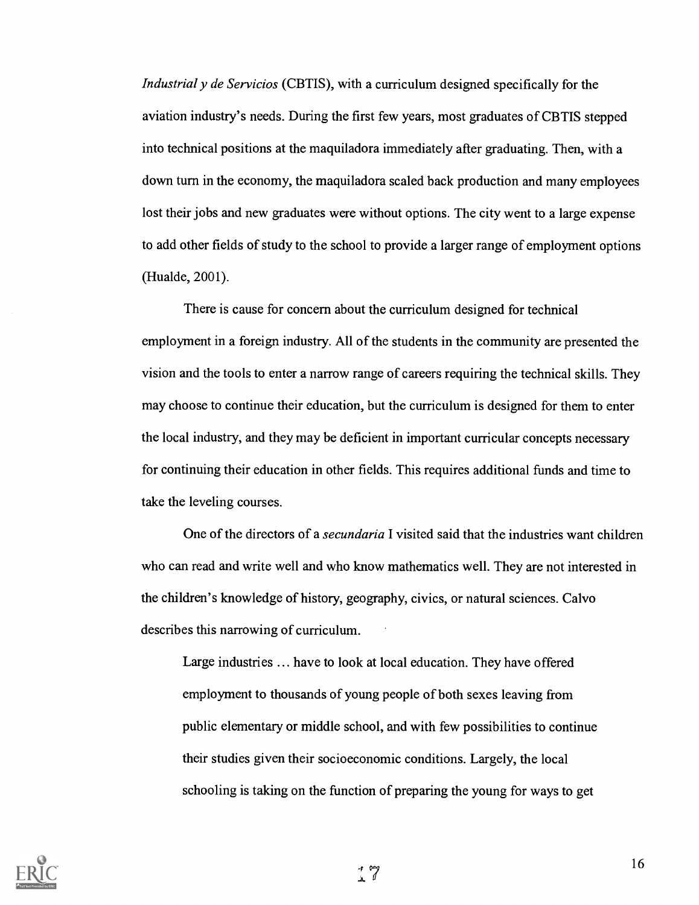Industrial y de Servicios (CBTIS), with a curriculum designed specifically for the aviation industry's needs. During the first few years, most graduates of CBTIS stepped into technical positions at the maquiladora immediately after graduating. Then, with a down turn in the economy, the maquiladora scaled back production and many employees lost their jobs and new graduates were without options. The city went to a large expense to add other fields of study to the school to provide a larger range of employment options (Hualde, 2001).

There is cause for concern about the curriculum designed for technical employment in a foreign industry. All of the students in the community are presented the vision and the tools to enter a narrow range of careers requiring the technical skills. They may choose to continue their education, but the curriculum is designed for them to enter the local industry, and they may be deficient in important curricular concepts necessary for continuing their education in other fields. This requires additional funds and time to take the leveling courses.

One of the directors of a *secundaria* I visited said that the industries want children who can read and write well and who know mathematics well. They are not interested in the children's knowledge of history, geography, civics, or natural sciences. Calvo describes this narrowing of curriculum.

Large industries ... have to look at local education. They have offered employment to thousands of young people of both sexes leaving from public elementary or middle school, and with few possibilities to continue their studies given their socioeconomic conditions. Largely, the local schooling is taking on the function of preparing the young for ways to get

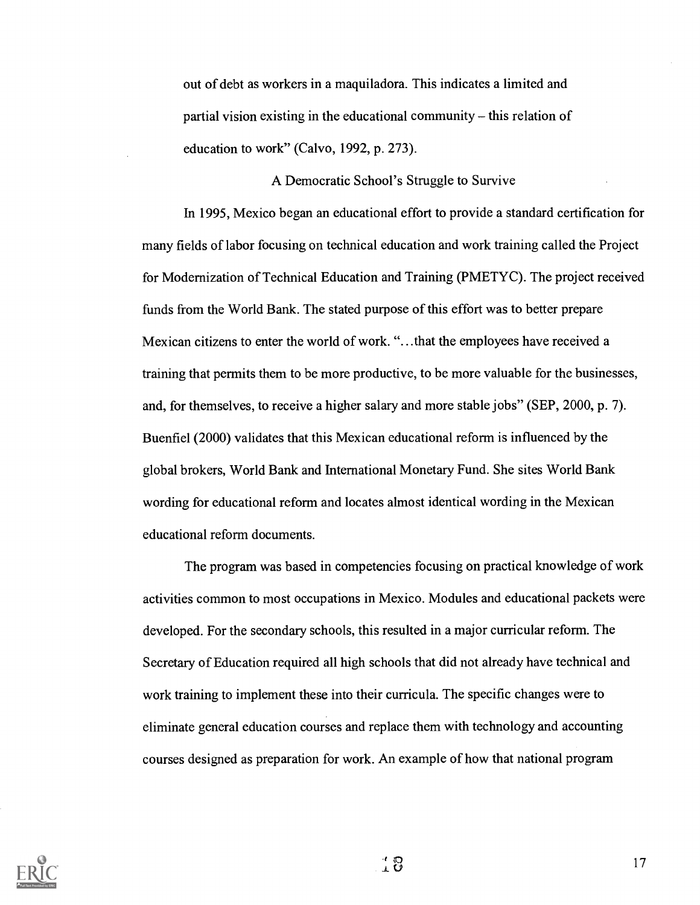out of debt as workers in a maquiladora. This indicates a limited and partial vision existing in the educational community  $-$  this relation of education to work" (Calvo, 1992, p. 273).

#### A Democratic School's Struggle to Survive

In 1995, Mexico began an educational effort to provide a standard certification for many fields of labor focusing on technical education and work training called the Project for Modernization of Technical Education and Training (PMETYC). The project received funds from the World Bank. The stated purpose of this effort was to better prepare Mexican citizens to enter the world of work. "...that the employees have received a training that permits them to be more productive, to be more valuable for the businesses, and, for themselves, to receive a higher salary and more stable jobs" (SEP, 2000, p. 7). Buenfiel (2000) validates that this Mexican educational reform is influenced by the global brokers, World Bank and International Monetary Fund. She sites World Bank wording for educational reform and locates almost identical wording in the Mexican educational reform documents.

The program was based in competencies focusing on practical knowledge of work activities common to most occupations in Mexico. Modules and educational packets were developed. For the secondary schools, this resulted in a major curricular reform. The Secretary of Education required all high schools that did not already have technical and work training to implement these into their curricula. The specific changes were to eliminate general education courses and replace them with technology and accounting courses designed as preparation for work. An example of how that national program



 $\begin{array}{c} \begin{array}{c} \bullet \\ \bullet \end{array} \end{array}$  (17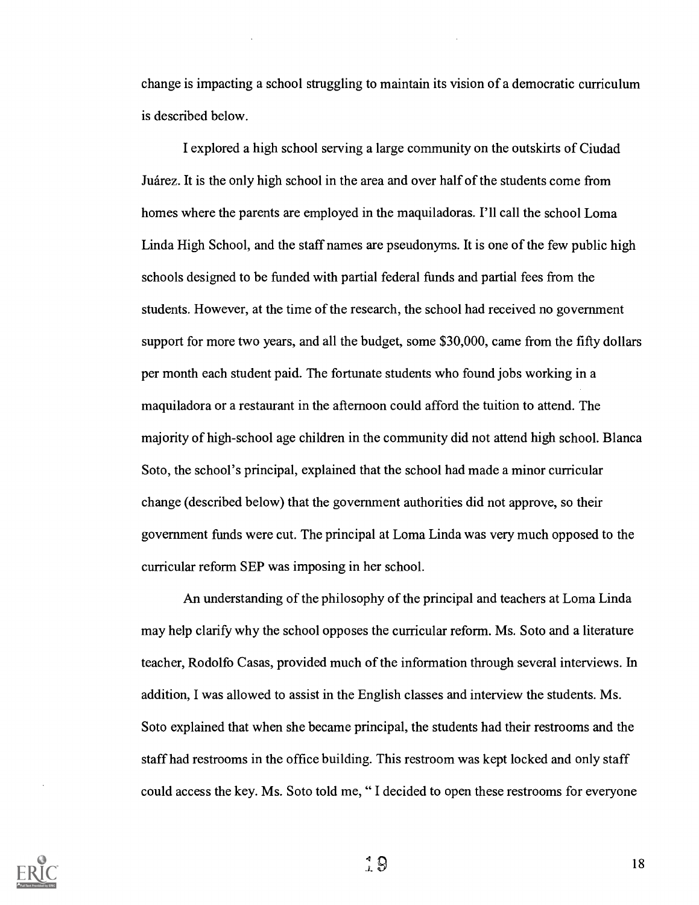change is impacting a school struggling to maintain its vision of a democratic curriculum is described below.

I explored a high school serving a large community on the outskirts of Ciudad Juarez. It is the only high school in the area and over half of the students come from homes where the parents are employed in the maquiladoras. I'll call the school Loma Linda High School, and the staff names are pseudonyms. It is one of the few public high schools designed to be funded with partial federal funds and partial fees from the students. However, at the time of the research, the school had received no government support for more two years, and all the budget, some \$30,000, came from the fifty dollars per month each student paid. The fortunate students who found jobs working in a maquiladora or a restaurant in the afternoon could afford the tuition to attend. The majority of high-school age children in the community did not attend high school. Blanca Soto, the school's principal, explained that the school had made a minor curricular change (described below) that the government authorities did not approve, so their government funds were cut. The principal at Loma Linda was very much opposed to the curricular reform SEP was imposing in her school.

An understanding of the philosophy of the principal and teachers at Loma Linda may help clarify why the school opposes the curricular reform. Ms. Soto and a literature teacher, Rodolfo Casas, provided much of the information through several interviews. In addition, I was allowed to assist in the English classes and interview the students. Ms. Soto explained that when she became principal, the students had their restrooms and the staff had restrooms in the office building. This restroom was kept locked and only staff could access the key. Ms. Soto told me, " I decided to open these restrooms for everyone

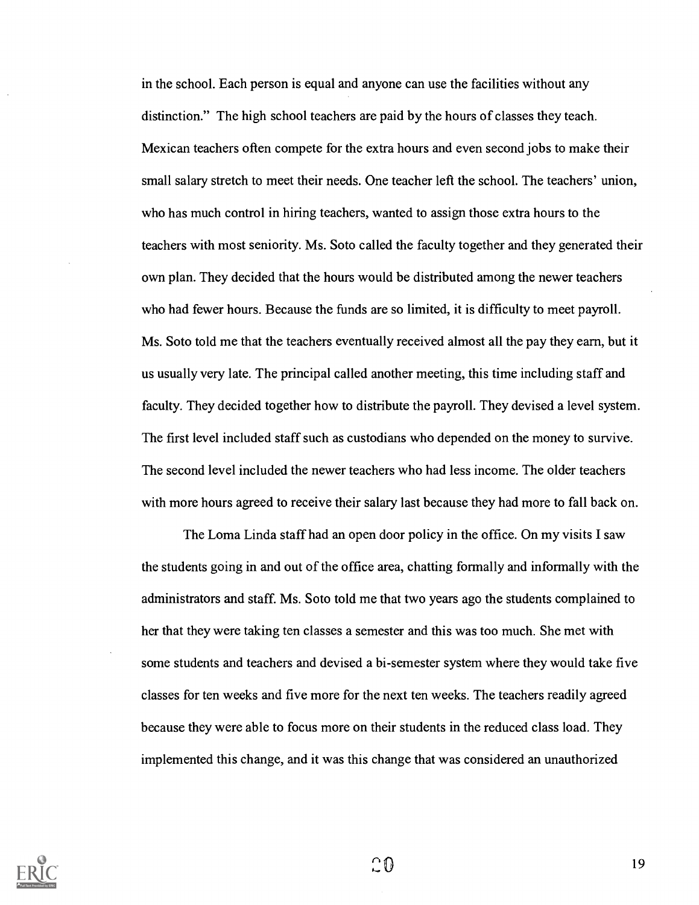in the school. Each person is equal and anyone can use the facilities without any distinction." The high school teachers are paid by the hours of classes they teach. Mexican teachers often compete for the extra hours and even second jobs to make their small salary stretch to meet their needs. One teacher left the school. The teachers' union, who has much control in hiring teachers, wanted to assign those extra hours to the teachers with most seniority. Ms. Soto called the faculty together and they generated their own plan. They decided that the hours would be distributed among the newer teachers who had fewer hours. Because the funds are so limited, it is difficulty to meet payroll. Ms. Soto told me that the teachers eventually received almost all the pay they earn, but it us usually very late. The principal called another meeting, this time including staff and faculty. They decided together how to distribute the payroll. They devised a level system. The first level included staff such as custodians who depended on the money to survive. The second level included the newer teachers who had less income. The older teachers with more hours agreed to receive their salary last because they had more to fall back on.

The Loma Linda staff had an open door policy in the office. On my visits I saw the students going in and out of the office area, chatting formally and informally with the administrators and staff. Ms. Soto told me that two years ago the students complained to her that they were taking ten classes a semester and this was too much. She met with some students and teachers and devised a bi-semester system where they would take five classes for ten weeks and five more for the next ten weeks. The teachers readily agreed because they were able to focus more on their students in the reduced class load. They implemented this change, and it was this change that was considered an unauthorized



 $\Omega$  0  $\Omega$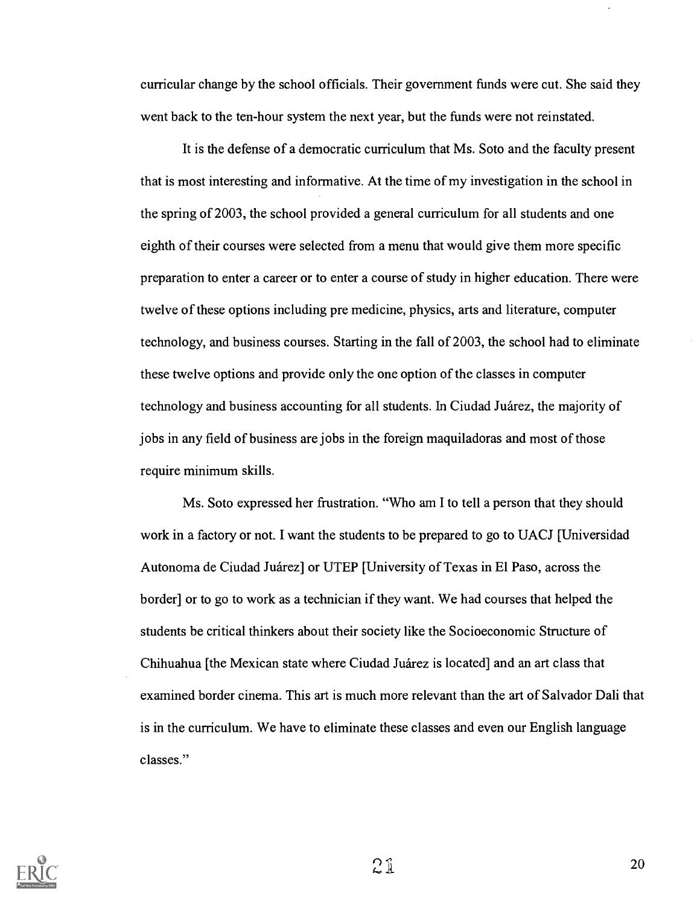curricular change by the school officials. Their government funds were cut. She said they went back to the ten-hour system the next year, but the funds were not reinstated.

It is the defense of a democratic curriculum that Ms. Soto and the faculty present that is most interesting and informative. At the time of my investigation in the school in the spring of 2003, the school provided a general curriculum for all students and one eighth of their courses were selected from a menu that would give them more specific preparation to enter a career or to enter a course of study in higher education. There were twelve of these options including pre medicine, physics, arts and literature, computer technology, and business courses. Starting in the fall of 2003, the school had to eliminate these twelve options and provide only the one option of the classes in computer technology and business accounting for all students. In Ciudad Juarez, the majority of jobs in any field of business are jobs in the foreign maquiladoras and most of those require minimum skills.

Ms. Soto expressed her frustration. "Who am I to tell a person that they should work in a factory or not. I want the students to be prepared to go to UACJ [Universidad Autonoma de Ciudad Juarez] or UTEP [University of Texas in El Paso, across the border] or to go to work as a technician if they want. We had courses that helped the students be critical thinkers about their society like the Socioeconomic Structure of Chihuahua [the Mexican state where Ciudad Juarez is located] and an art class that examined border cinema. This art is much more relevant than the art of Salvador Dali that is in the curriculum. We have to eliminate these classes and even our English language classes."



 $21$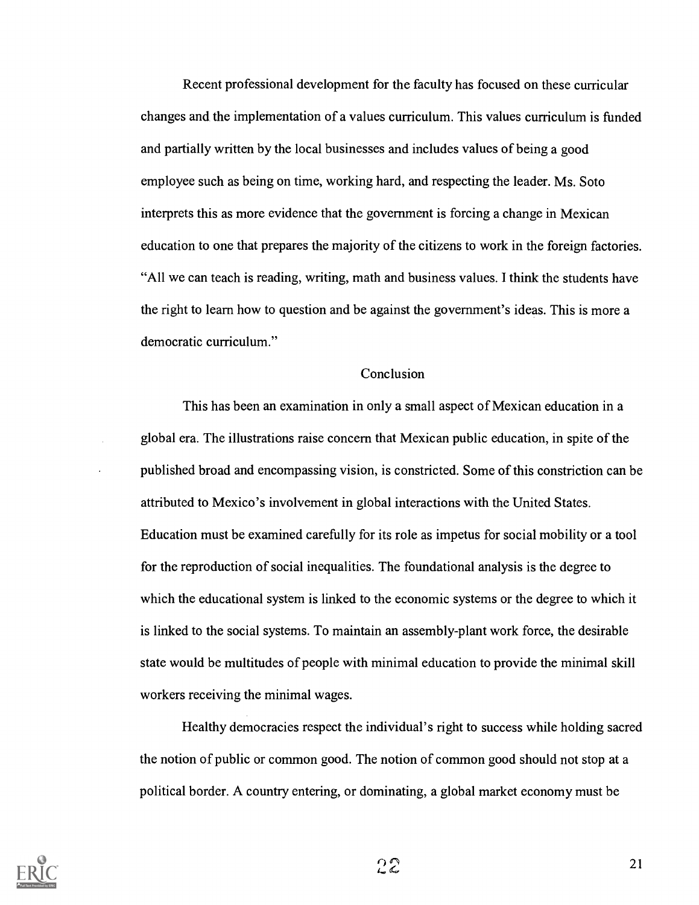Recent professional development for the faculty has focused on these curricular changes and the implementation of a values curriculum. This values curriculum is funded and partially written by the local businesses and includes values of being a good employee such as being on time, working hard, and respecting the leader. Ms. Soto interprets this as more evidence that the government is forcing a change in Mexican education to one that prepares the majority of the citizens to work in the foreign factories. "All we can teach is reading, writing, math and business values. I think the students have the right to learn how to question and be against the government's ideas. This is more a democratic curriculum."

### **Conclusion**

This has been an examination in only a small aspect of Mexican education in a global era. The illustrations raise concern that Mexican public education, in spite of the published broad and encompassing vision, is constricted. Some of this constriction can be attributed to Mexico's involvement in global interactions with the United States. Education must be examined carefully for its role as impetus for social mobility or a tool for the reproduction of social inequalities. The foundational analysis is the degree to which the educational system is linked to the economic systems or the degree to which it is linked to the social systems. To maintain an assembly-plant work force, the desirable state would be multitudes of people with minimal education to provide the minimal skill workers receiving the minimal wages.

Healthy democracies respect the individual's right to success while holding sacred the notion of public or common good. The notion of common good should not stop at a political border. A country entering, or dominating, a global market economy must be



 $22$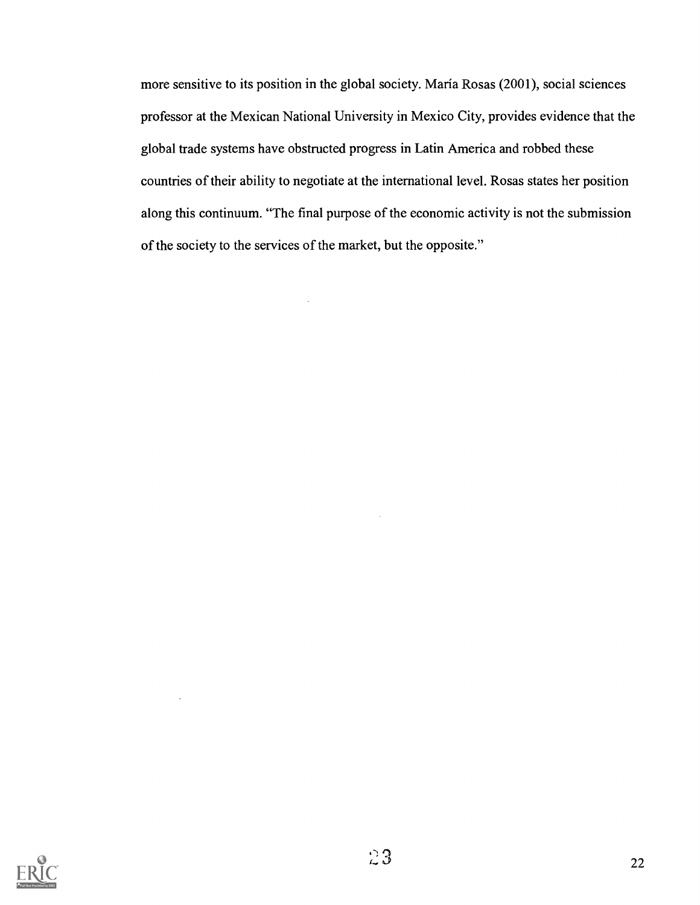more sensitive to its position in the global society. Maria Rosas (2001), social sciences professor at the Mexican National University in Mexico City, provides evidence that the global trade systems have obstructed progress in Latin America and robbed these countries of their ability to negotiate at the international level. Rosas states her position along this continuum. "The final purpose of the economic activity is not the submission of the society to the services of the market, but the opposite."

 $\cdot$ 

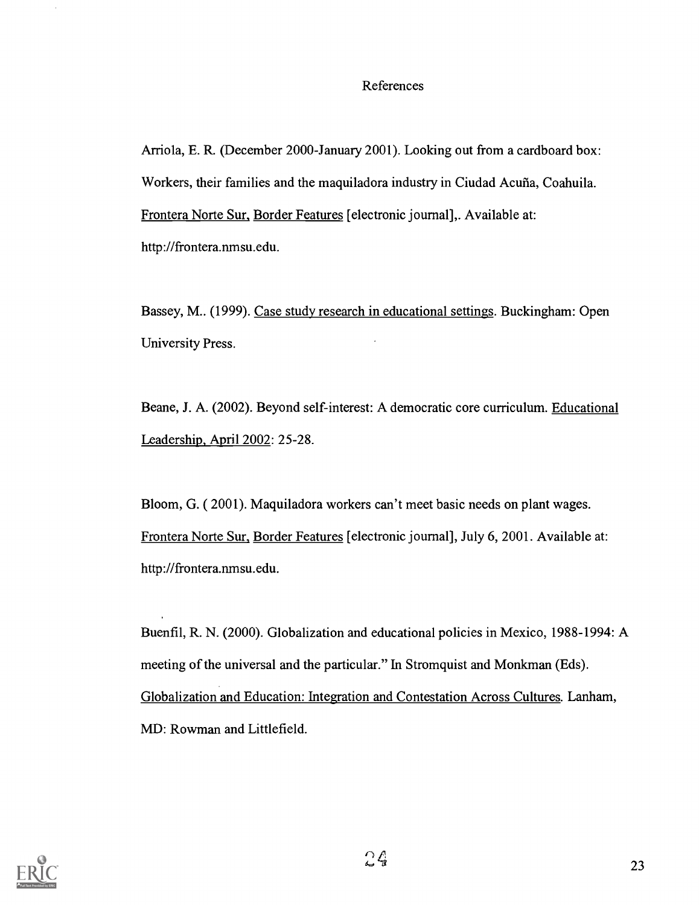#### References

Arriola, E. R. (December 2000-January 2001). Looking out from a cardboard box: Workers, their families and the maquiladora industry in Ciudad Acuña, Coahuila. Frontera Norte Sur, Border Features [electronic journal],. Available at: http ://frontera.nmsu.edu.

Bassey, M.. (1999). Case study research in educational settings. Buckingham: Open University Press.

Beane, J. A. (2002). Beyond self-interest: A democratic core curriculum. Educational Leadership, April 2002: 25-28.

Bloom, G. ( 2001). Maquiladora workers can't meet basic needs on plant wages. Frontera Norte Sur, Border Features [electronic journal], July 6, 2001. Available at: http://frontera.nmsu.edu.

Buenfil, R. N. (2000). Globalization and educational policies in Mexico, 1988-1994: A meeting of the universal and the particular." In Stromquist and Monkman (Eds). Globalization and Education: Integration and Contestation Across Cultures. Lanham, MD: Rowman and Littlefield.

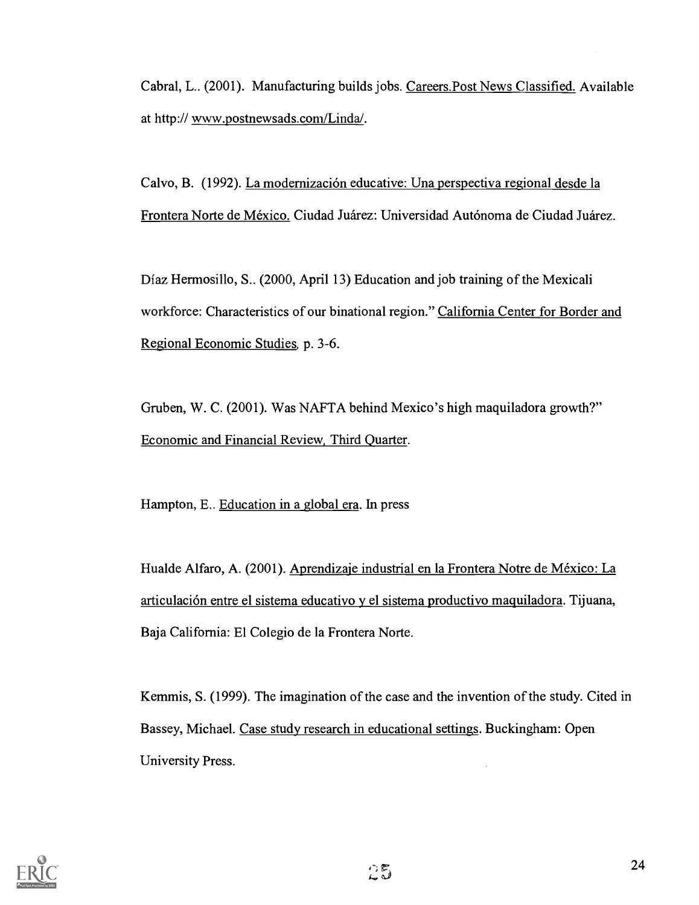Cabral, L.. (2001). Manufacturing builds jobs. Careers.Post News Classified. Available at http:// www.postnewsads.com/Linda/.

Calvo, B. (1992). La modernización educative: Una perspectiva regional desde la Frontera Norte de Mexico. Ciudad Juarez: Universidad Autonoma de Ciudad Juarez.

Diaz Hermosillo, S.. (2000, April 13) Education and job training of the Mexicali workforce: Characteristics of our binational region." California Center for Border and Regional Economic Studies, p. 3-6.

Gruben, W. C. (2001). Was NAFTA behind Mexico's high maquiladora growth?" Economic and Financial Review, Third Quarter.

Hampton, E.. Education in a global era. In press

Hualde Alfaro, A. (2001). Aprendizaje industrial en la Frontera Notre de México: La articulacion entre el sistema educativo y el sistema productivo maquiladora. Tijuana, Baja California: El Colegio de la Frontera Norte.

Kemmis, S. (1999). The imagination of the case and the invention of the study. Cited in Bassey, Michael. Case study research in educational settings. Buckingham: Open University Press.

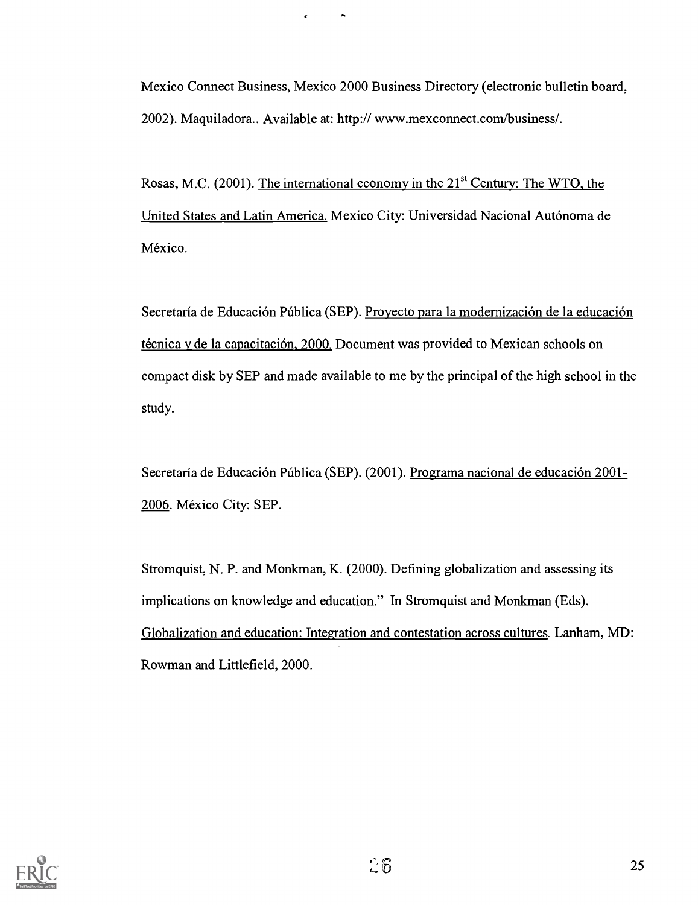Mexico Connect Business, Mexico 2000 Business Directory (electronic bulletin board, 2002). Maquiladora.. Available at: http:// www.mexconnect.com/business/.

Rosas, M.C. (2001). The international economy in the 21<sup>st</sup> Century: The WTO, the United States and Latin America. Mexico City: Universidad Nacional Autonoma de México.

Secretaría de Educación Pública (SEP). Proyecto para la modernización de la educación técnica y de la capacitación,  $2000$ . Document was provided to Mexican schools on compact disk by SEP and made available to me by the principal of the high school in the study.

Secretaría de Educación Pública (SEP). (2001). Programa nacional de educación 2001-2006. Mexico City: SEP.

Stromquist, N. P. and Monkman, K. (2000). Defining globalization and assessing its implications on knowledge and education." In Stromquist and Monkman (Eds). Globalization and education: Integration and contestation across cultures. Lanham, MD: Rowman and Littlefield, 2000.

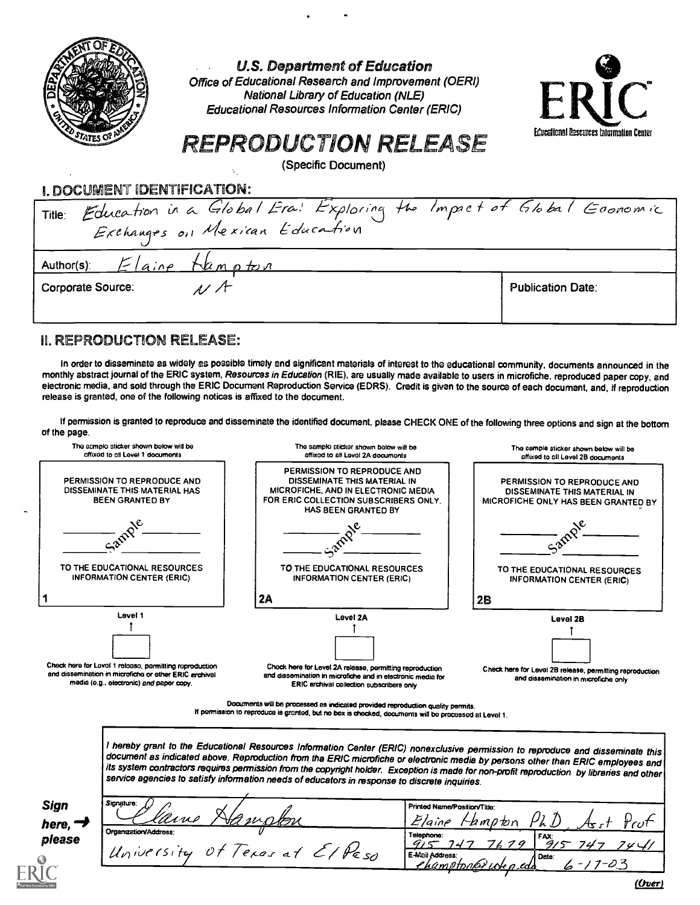

U.S. Department of Education

Office of Educational Research and Improvement (OERI) National Library of Education (NLE) Educational Resources Information Center (ERIC)



# REPRODUCTION RELEASE

(Specific Document)

I. DOCUMENT IDENTIFICATION:

| Title: Education in a Global Era! Exploring the Impact of Global Goonomic |                          |
|---------------------------------------------------------------------------|--------------------------|
| Author(s) $E _{aine}$ them p to n                                         |                          |
| Corporate Source:<br>$117 +$                                              | <b>Publication Date:</b> |

### **II. REPRODUCTION RELEASE:**

In order to disseminate as widely as possible timely and significant materials of interest to the educational community, documents announced in the monthly abstract journal of the ERIC system, Resources in Education (RIE), are usually made available to users in microfiche, reproduced paper copy, and electronic media, and sold through the ERIC Document Reproduction Service (EDRS). Credit is given to the source of each document, and, if reproduction release is granted, one of the following notices is affixed to the document.

If permission is granted to reproduce and disseminate the identified document, please CHECK ONE of the following three options and sign at the bottom of the page.



l hereby grant to the Educational Resources Information Center (ERIC) nonexclusive permission to reproduce and disseminate this<br>document as indicated above. Reproduction from tha ERIC microfiche or electronic media by pers its system contractors requires permission from the copyright holder. Exception is made for non-profit reproduction by libraries and other<br>service agencies to satisfy information needs of educators in response to discrete

| <b>Sign</b> | Signature:                                 | Printed Name/Position/Title:      |
|-------------|--------------------------------------------|-----------------------------------|
| here, "     | lline                                      | <i>bmoto</i> n                    |
|             | Organization/Address:                      | Telephone:<br>l FAX:              |
| please      |                                            |                                   |
|             | University<br>$10t$ /exas at $10$<br>PE so | E-Meil Address:<br><b>A</b> Date: |
|             |                                            | <u> "kumetonky we p edo</u>       |